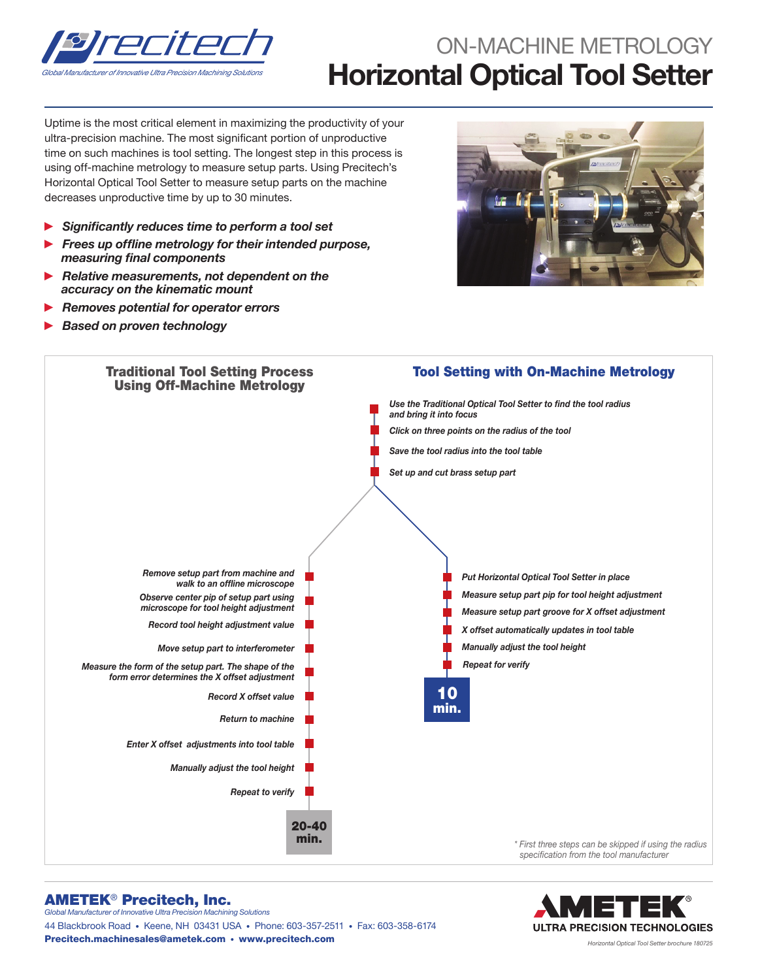

## ON-MACHINE METROLOGY Horizontal Optical Tool Setter

Uptime is the most critical element in maximizing the productivity of your ultra-precision machine. The most significant portion of unproductive time on such machines is tool setting. The longest step in this process is using off-machine metrology to measure setup parts. Using Precitech's Horizontal Optical Tool Setter to measure setup parts on the machine decreases unproductive time by up to 30 minutes.

- ► Significantly reduces time to perform a tool set
- Frees up offline metrology for their intended purpose, measuring final components
- Relative measurements, not dependent on the accuracy on the kinematic mount
- ► Removes potential for operator errors
- **Based on proven technology**





## AMETEK® Precitech, Inc. *Global Manufacturer of Innovative Ultra Precision Machining Solutions*

44 Blackbrook Road • Keene, NH 03431 USA • Phone: 603-357-2511 • Fax: 603-358-6174 Precitech.machinesales@ametek.com • www.precitech.com